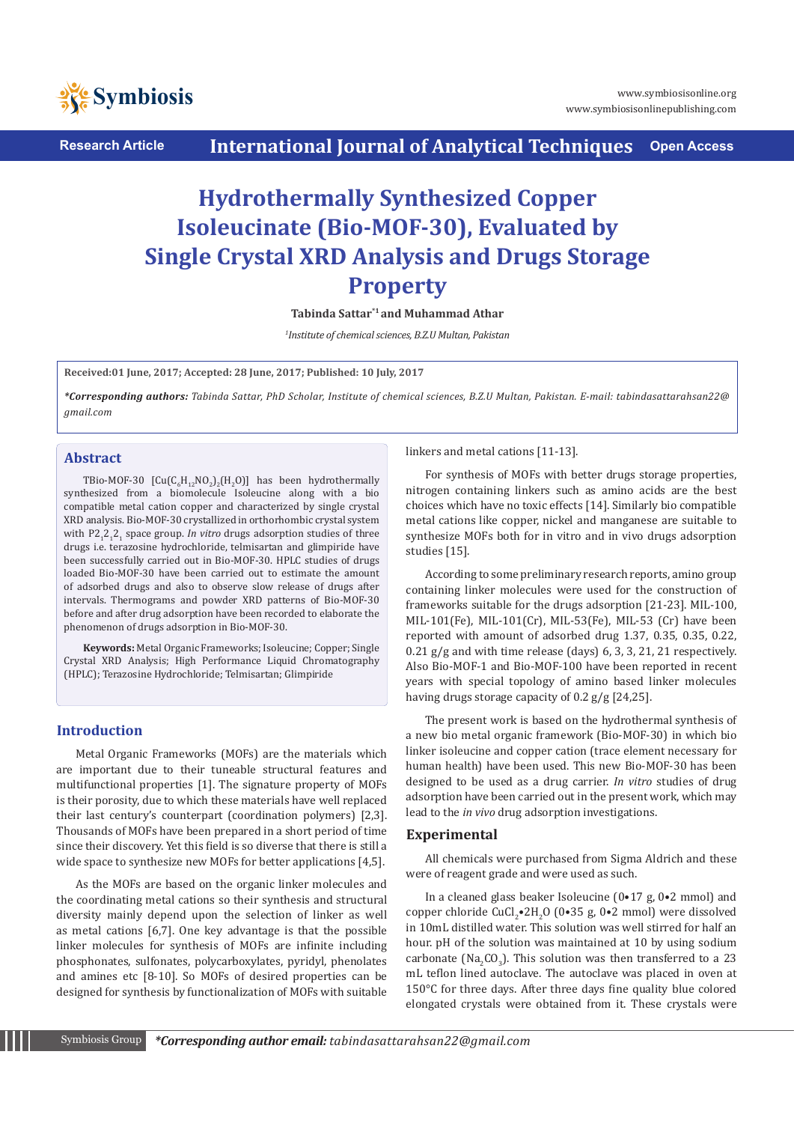

**Research Article International Journal of Analytical Techniques Open Access**

# **Hydrothermally Synthesized Copper Isoleucinate (Bio-MOF-30), Evaluated by Single Crystal XRD Analysis and Drugs Storage Property**

**Tabinda Sattar\*1 and Muhammad Athar**

*1 Institute of chemical sciences, B.Z.U Multan, Pakistan*

**Received:01 June, 2017; Accepted: 28 June, 2017; Published: 10 July, 2017**

*\*Corresponding authors: Tabinda Sattar, PhD Scholar, Institute of chemical sciences, B.Z.U Multan, Pakistan. E-mail: tabindasattarahsan22@ gmail.com*

# **Abstract**

TBio-MOF-30  $[\text{Cu}(C_6H_{12}NO_2)_2(H_2O)]$  has been hydrothermally synthesized from a biomolecule Isoleucine along with a bio compatible metal cation copper and characterized by single crystal XRD analysis. Bio-MOF-30 crystallized in orthorhombic crystal system with P2<sub>1</sub>2<sub>1</sub>2<sub>1</sub> space group. *In vitro* drugs adsorption studies of three drugs i.e. terazosine hydrochloride, telmisartan and glimpiride have been successfully carried out in Bio-MOF-30. HPLC studies of drugs loaded Bio-MOF-30 have been carried out to estimate the amount of adsorbed drugs and also to observe slow release of drugs after intervals. Thermograms and powder XRD patterns of Bio-MOF-30 before and after drug adsorption have been recorded to elaborate the phenomenon of drugs adsorption in Bio-MOF-30.

**Keywords:** Metal Organic Frameworks; Isoleucine; Copper; Single Crystal XRD Analysis; High Performance Liquid Chromatography (HPLC); Terazosine Hydrochloride; Telmisartan; Glimpiride

# **Introduction**

Metal Organic Frameworks (MOFs) are the materials which are important due to their tuneable structural features and multifunctional properties [1]. The signature property of MOFs is their porosity, due to which these materials have well replaced their last century's counterpart (coordination polymers) [2,3]. Thousands of MOFs have been prepared in a short period of time since their discovery. Yet this field is so diverse that there is still a wide space to synthesize new MOFs for better applications [4,5].

As the MOFs are based on the organic linker molecules and the coordinating metal cations so their synthesis and structural diversity mainly depend upon the selection of linker as well as metal cations [6,7]. One key advantage is that the possible linker molecules for synthesis of MOFs are infinite including phosphonates, sulfonates, polycarboxylates, pyridyl, phenolates and amines etc [8-10]. So MOFs of desired properties can be designed for synthesis by functionalization of MOFs with suitable linkers and metal cations [11-13].

For synthesis of MOFs with better drugs storage properties, nitrogen containing linkers such as amino acids are the best choices which have no toxic effects [14]. Similarly bio compatible metal cations like copper, nickel and manganese are suitable to synthesize MOFs both for in vitro and in vivo drugs adsorption studies [15].

According to some preliminary research reports, amino group containing linker molecules were used for the construction of frameworks suitable for the drugs adsorption [21-23]. MIL-100, MIL-101(Fe), MIL-101(Cr), MIL-53(Fe), MIL-53 (Cr) have been reported with amount of adsorbed drug 1.37, 0.35, 0.35, 0.22, 0.21 g/g and with time release (days) 6, 3, 3, 21, 21 respectively. Also Bio-MOF-1 and Bio-MOF-100 have been reported in recent years with special topology of amino based linker molecules having drugs storage capacity of 0.2 g/g [24,25].

The present work is based on the hydrothermal synthesis of a new bio metal organic framework (Bio-MOF-30) in which bio linker isoleucine and copper cation (trace element necessary for human health) have been used. This new Bio-MOF-30 has been designed to be used as a drug carrier. *In vitro* studies of drug adsorption have been carried out in the present work, which may lead to the *in vivo* drug adsorption investigations.

# **Experimental**

All chemicals were purchased from Sigma Aldrich and these were of reagent grade and were used as such.

In a cleaned glass beaker Isoleucine (0•17 g, 0•2 mmol) and copper chloride  $CuCl<sub>2</sub>•2H<sub>2</sub>O$  (0•35 g, 0•2 mmol) were dissolved in 10mL distilled water. This solution was well stirred for half an hour. pH of the solution was maintained at 10 by using sodium carbonate (Na<sub>2</sub>CO<sub>3</sub>). This solution was then transferred to a 23 mL teflon lined autoclave. The autoclave was placed in oven at 150°C for three days. After three days fine quality blue colored elongated crystals were obtained from it. These crystals were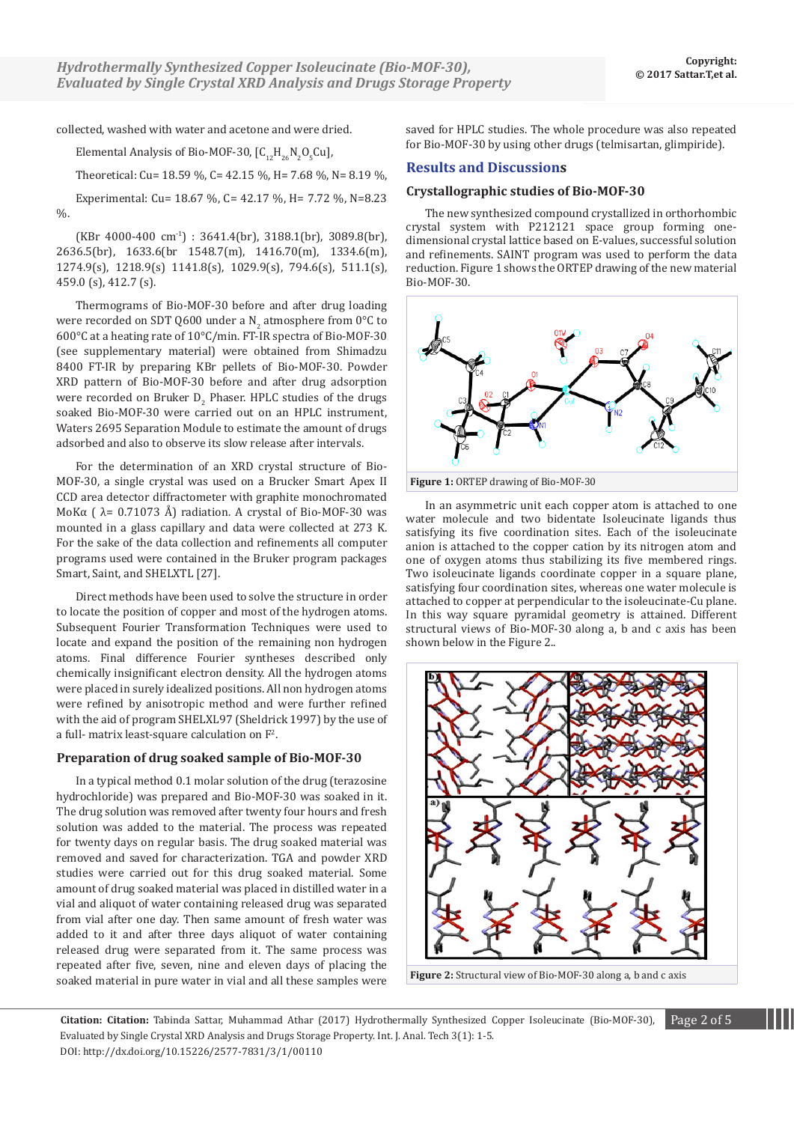collected, washed with water and acetone and were dried.

Elemental Analysis of Bio-MOF-30,  $[C_{12}H_{26}N_2O_5Cu]$ ,

Theoretical: Cu= 18.59 %, C= 42.15 %, H= 7.68 %, N= 8.19 %,

Experimental: Cu= 18.67 %, C= 42.17 %, H= 7.72 %, N=8.23  $\frac{0}{6}$ .

 $(KBr 4000-400 cm^{-1})$ : 3641.4(br), 3188.1(br), 3089.8(br), 2636.5(br), 1633.6(br 1548.7(m), 1416.70(m), 1334.6(m), 1274.9(s), 1218.9(s) 1141.8(s), 1029.9(s), 794.6(s), 511.1(s), 459.0 (s), 412.7 (s).

Thermograms of Bio-MOF-30 before and after drug loading were recorded on SDT Q600 under a N<sub>2</sub> atmosphere from 0°C to 600°C at a heating rate of 10°C/min. FT-IR spectra of Bio-MOF-30 (see supplementary material) were obtained from Shimadzu 8400 FT-IR by preparing KBr pellets of Bio-MOF-30. Powder XRD pattern of Bio-MOF-30 before and after drug adsorption were recorded on Bruker  $\mathsf{D}_2$  Phaser. HPLC studies of the drugs soaked Bio-MOF-30 were carried out on an HPLC instrument, Waters 2695 Separation Module to estimate the amount of drugs adsorbed and also to observe its slow release after intervals.

For the determination of an XRD crystal structure of Bio-MOF-30, a single crystal was used on a Brucker Smart Apex II CCD area detector diffractometer with graphite monochromated MoKα ( $\lambda$ = 0.71073 Å) radiation. A crystal of Bio-MOF-30 was mounted in a glass capillary and data were collected at 273 K. For the sake of the data collection and refinements all computer programs used were contained in the Bruker program packages Smart, Saint, and SHELXTL [27].

Direct methods have been used to solve the structure in order to locate the position of copper and most of the hydrogen atoms. Subsequent Fourier Transformation Techniques were used to locate and expand the position of the remaining non hydrogen atoms. Final difference Fourier syntheses described only chemically insignificant electron density. All the hydrogen atoms were placed in surely idealized positions. All non hydrogen atoms were refined by anisotropic method and were further refined with the aid of program SHELXL97 (Sheldrick 1997) by the use of a full- matrix least-square calculation on  $\mathbb{F}^2$ .

## **Preparation of drug soaked sample of Bio-MOF-30**

In a typical method 0.1 molar solution of the drug (terazosine hydrochloride) was prepared and Bio-MOF-30 was soaked in it. The drug solution was removed after twenty four hours and fresh solution was added to the material. The process was repeated for twenty days on regular basis. The drug soaked material was removed and saved for characterization. TGA and powder XRD studies were carried out for this drug soaked material. Some amount of drug soaked material was placed in distilled water in a vial and aliquot of water containing released drug was separated from vial after one day. Then same amount of fresh water was added to it and after three days aliquot of water containing released drug were separated from it. The same process was repeated after five, seven, nine and eleven days of placing the soaked material in pure water in vial and all these samples were saved for HPLC studies. The whole procedure was also repeated for Bio-MOF-30 by using other drugs (telmisartan, glimpiride).

# **Results and Discussions**

## **Crystallographic studies of Bio-MOF-30**

The new synthesized compound crystallized in orthorhombic crystal system with P212121 space group forming onedimensional crystal lattice based on E-values, successful solution and refinements. SAINT program was used to perform the data reduction. Figure 1 shows the ORTEP drawing of the new material Bio-MOF-30.



In an asymmetric unit each copper atom is attached to one water molecule and two bidentate Isoleucinate ligands thus satisfying its five coordination sites. Each of the isoleucinate anion is attached to the copper cation by its nitrogen atom and one of oxygen atoms thus stabilizing its five membered rings. Two isoleucinate ligands coordinate copper in a square plane, satisfying four coordination sites, whereas one water molecule is attached to copper at perpendicular to the isoleucinate-Cu plane. In this way square pyramidal geometry is attained. Different structural views of Bio-MOF-30 along a, b and c axis has been shown below in the Figure 2..



**Figure 2:** Structural view of Bio-MOF-30 along a, b and c axis

**Citation: Citation:** Tabinda Sattar, Muhammad Athar (2017) Hydrothermally Synthesized Copper Isoleucinate (Bio-MOF-30), Page 2 of 5 Evaluated by Single Crystal XRD Analysis and Drugs Storage Property. Int. J. Anal. Tech 3(1): 1-5. DOI: http://dx.doi.org/10.15226/2577-7831/3/1/00110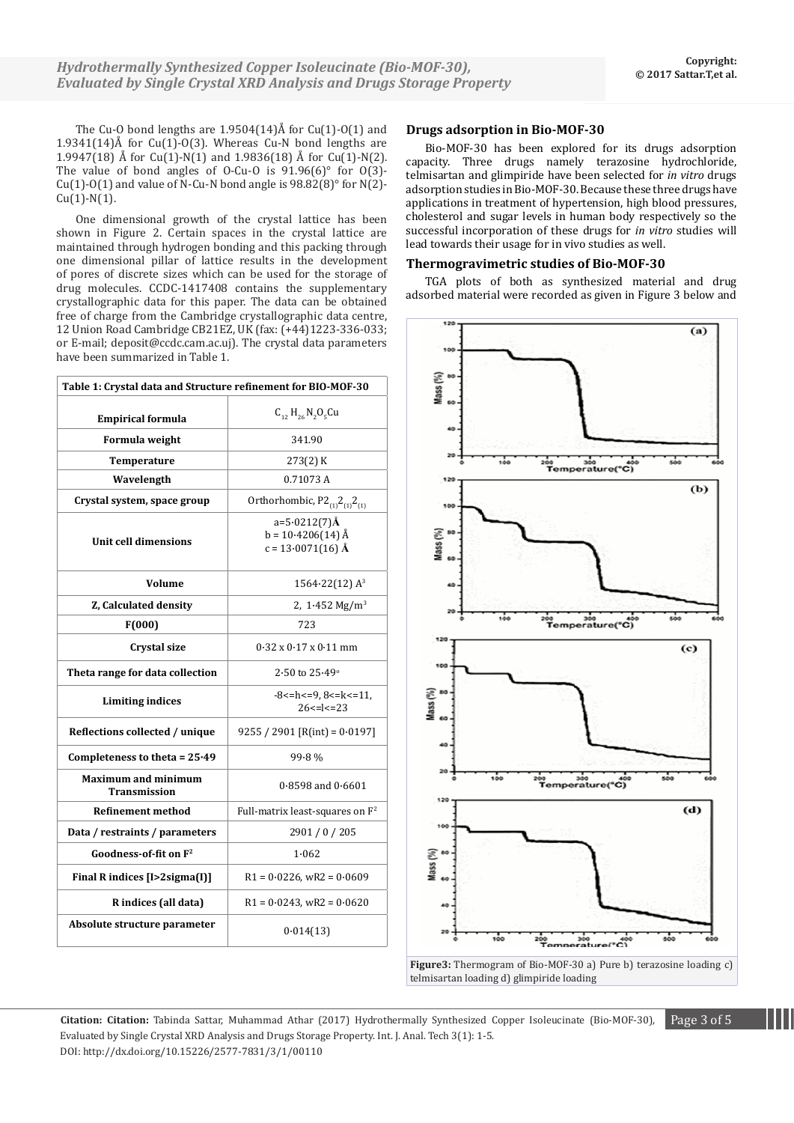The Cu-O bond lengths are  $1.9504(14)$ Å for Cu(1)-O(1) and 1.9341(14)Å for  $Cu(1)-O(3)$ . Whereas  $Cu-N$  bond lengths are 1.9947(18) Å for  $Cu(1)$ -N(1) and 1.9836(18) Å for  $Cu(1)$ -N(2). The value of bond angles of O-Cu-O is  $91.96(6)^\circ$  for  $0(3)$ -Cu(1)-O(1) and value of N-Cu-N bond angle is  $98.82(8)^\circ$  for N(2)- $Cu(1)-N(1)$ .

One dimensional growth of the crystal lattice has been shown in Figure 2. Certain spaces in the crystal lattice are maintained through hydrogen bonding and this packing through one dimensional pillar of lattice results in the development of pores of discrete sizes which can be used for the storage of drug molecules. CCDC-1417408 contains the supplementary crystallographic data for this paper. The data can be obtained free of charge from the Cambridge crystallographic data centre, 12 Union Road Cambridge CB21EZ, UK (fax: (+44)1223-336-033; or E-mail; deposit@ccdc.cam.ac.uj). The crystal data parameters have been summarized in Table 1.

| Table 1: Crystal data and Structure refinement for BIO-MOF-30 |                                                               |
|---------------------------------------------------------------|---------------------------------------------------------------|
| <b>Empirical formula</b>                                      | $C_{12} H_{26} N_2 O_5$ Cu                                    |
| Formula weight                                                | 341.90                                                        |
| <b>Temperature</b>                                            | 273(2) K                                                      |
| Wavelength                                                    | 0.71073A                                                      |
| Crystal system, space group                                   | Orthorhombic, $P2_{(1)}2_{(1)}2_{(1)}$                        |
| Unit cell dimensions                                          | $a=5.0212(7)$ Å<br>$b = 10.4206(14)$ Å<br>$c = 13.0071(16)$ Å |
| Volume                                                        | $1564.22(12)$ A <sup>3</sup>                                  |
| Z, Calculated density                                         | 2, $1.452 \text{ Mg/m}^3$                                     |
| F(000)                                                        | 723                                                           |
| <b>Crystal size</b>                                           | $0.32 \times 0.17 \times 0.11$ mm                             |
| Theta range for data collection                               | $2.50$ to $25.49^{\circ}$                                     |
| <b>Limiting indices</b>                                       | $-8$ < = h < = 9, 8 < = k < = 11,<br>$26 < =  < 23$           |
| Reflections collected / unique                                | $9255 / 2901$ [R(int) = 0.0197]                               |
| Completeness to theta = $25.49$                               | $99.8\%$                                                      |
| <b>Maximum and minimum</b><br><b>Transmission</b>             | $0.8598$ and $0.6601$                                         |
| <b>Refinement method</b>                                      | Full-matrix least-squares on F <sup>2</sup>                   |
| Data / restraints / parameters                                | 2901 / 0 / 205                                                |
| Goodness-of-fit on F <sup>2</sup>                             | 1.062                                                         |
| Final R indices [I>2sigma(I)]                                 | $R1 = 0.0226$ , wR2 = $0.0609$                                |
| R indices (all data)                                          | $R1 = 0.0243$ , wR2 = $0.0620$                                |
| Absolute structure parameter                                  | 0.014(13)                                                     |

#### **Drugs adsorption in Bio-MOF-30**

Bio-MOF-30 has been explored for its drugs adsorption capacity. Three drugs namely terazosine hydrochloride, telmisartan and glimpiride have been selected for *in vitro* drugs adsorption studies in Bio-MOF-30. Because these three drugs have applications in treatment of hypertension, high blood pressures, cholesterol and sugar levels in human body respectively so the successful incorporation of these drugs for *in vitro* studies will lead towards their usage for in vivo studies as well.

## **Thermogravimetric studies of Bio-MOF-30**

TGA plots of both as synthesized material and drug adsorbed material were recorded as given in Figure 3 below and





**Citation: Citation:** Tabinda Sattar, Muhammad Athar (2017) Hydrothermally Synthesized Copper Isoleucinate (Bio-MOF-30), Page 3 of 5 Evaluated by Single Crystal XRD Analysis and Drugs Storage Property. Int. J. Anal. Tech 3(1): 1-5. DOI: http://dx.doi.org/10.15226/2577-7831/3/1/00110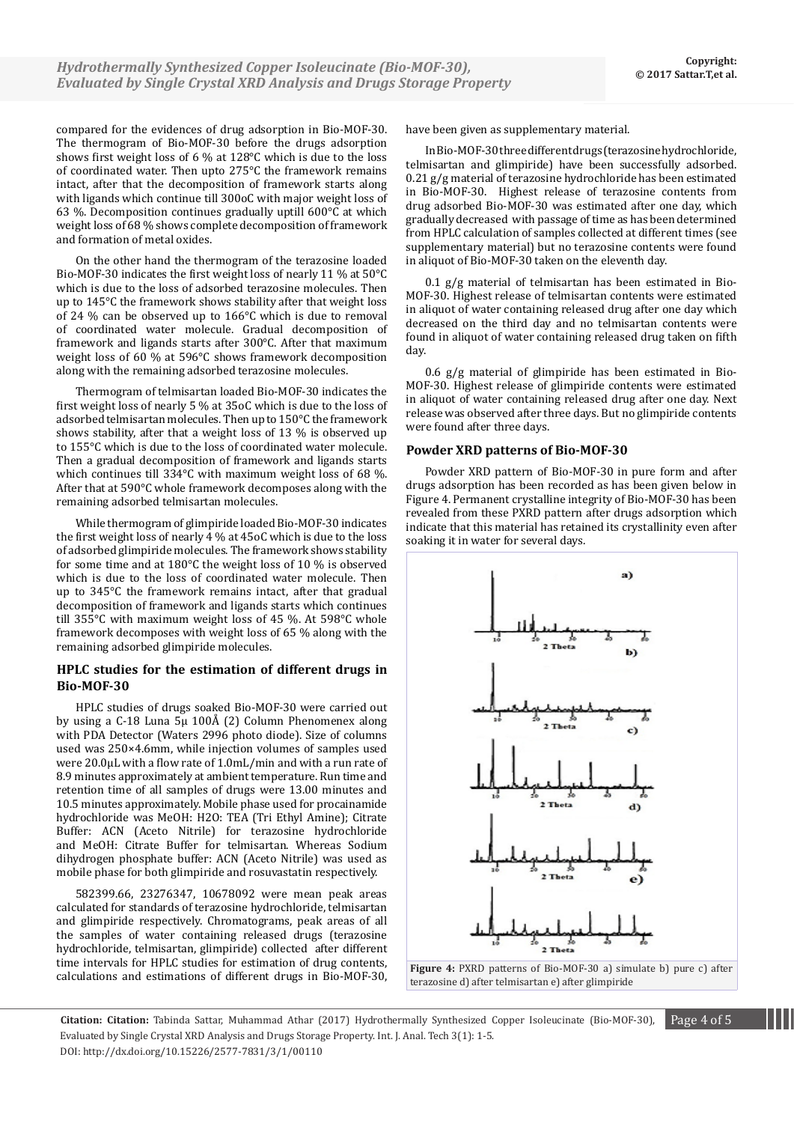compared for the evidences of drug adsorption in Bio-MOF-30. The thermogram of Bio-MOF-30 before the drugs adsorption shows first weight loss of 6 % at 128°C which is due to the loss of coordinated water. Then upto 275°C the framework remains intact, after that the decomposition of framework starts along with ligands which continue till 300oC with major weight loss of 63 %. Decomposition continues gradually uptill 600°C at which weight loss of 68 % shows complete decomposition of framework and formation of metal oxides.

On the other hand the thermogram of the terazosine loaded Bio-MOF-30 indicates the first weight loss of nearly 11 % at 50°C which is due to the loss of adsorbed terazosine molecules. Then up to 145°C the framework shows stability after that weight loss of 24 % can be observed up to 166°C which is due to removal of coordinated water molecule. Gradual decomposition of framework and ligands starts after 300°C. After that maximum weight loss of 60 % at 596°C shows framework decomposition along with the remaining adsorbed terazosine molecules.

Thermogram of telmisartan loaded Bio-MOF-30 indicates the first weight loss of nearly 5 % at 35oC which is due to the loss of adsorbed telmisartan molecules. Then up to 150°C the framework shows stability, after that a weight loss of 13 % is observed up to 155°C which is due to the loss of coordinated water molecule. Then a gradual decomposition of framework and ligands starts which continues till 334°C with maximum weight loss of 68 %. After that at 590°C whole framework decomposes along with the remaining adsorbed telmisartan molecules.

While thermogram of glimpiride loaded Bio-MOF-30 indicates the first weight loss of nearly 4 % at 45oC which is due to the loss of adsorbed glimpiride molecules. The framework shows stability for some time and at 180°C the weight loss of 10 % is observed which is due to the loss of coordinated water molecule. Then up to 345°C the framework remains intact, after that gradual decomposition of framework and ligands starts which continues till 355°C with maximum weight loss of 45 %. At 598°C whole framework decomposes with weight loss of 65 % along with the remaining adsorbed glimpiride molecules.

## **HPLC studies for the estimation of different drugs in Bio-MOF-30**

HPLC studies of drugs soaked Bio-MOF-30 were carried out by using a C-18 Luna 5µ 100Å (2) Column Phenomenex along with PDA Detector (Waters 2996 photo diode). Size of columns used was 250×4.6mm, while injection volumes of samples used were 20.0µL with a flow rate of 1.0mL/min and with a run rate of 8.9 minutes approximately at ambient temperature. Run time and retention time of all samples of drugs were 13.00 minutes and 10.5 minutes approximately. Mobile phase used for procainamide hydrochloride was MeOH: H2O: TEA (Tri Ethyl Amine); Citrate Buffer: ACN (Aceto Nitrile) for terazosine hydrochloride and MeOH: Citrate Buffer for telmisartan. Whereas Sodium dihydrogen phosphate buffer: ACN (Aceto Nitrile) was used as mobile phase for both glimpiride and rosuvastatin respectively.

582399.66, 23276347, 10678092 were mean peak areas calculated for standards of terazosine hydrochloride, telmisartan and glimpiride respectively. Chromatograms, peak areas of all the samples of water containing released drugs (terazosine hydrochloride, telmisartan, glimpiride) collected after different time intervals for HPLC studies for estimation of drug contents, calculations and estimations of different drugs in Bio-MOF-30,

have been given as supplementary material.

In Bio-MOF-30 three different drugs (terazosine hydrochloride, telmisartan and glimpiride) have been successfully adsorbed. 0.21 g/g material of terazosine hydrochloride has been estimated in Bio-MOF-30. Highest release of terazosine contents from drug adsorbed Bio-MOF-30 was estimated after one day, which gradually decreased with passage of time as has been determined from HPLC calculation of samples collected at different times (see supplementary material) but no terazosine contents were found in aliquot of Bio-MOF-30 taken on the eleventh day.

0.1 g/g material of telmisartan has been estimated in Bio-MOF-30. Highest release of telmisartan contents were estimated in aliquot of water containing released drug after one day which decreased on the third day and no telmisartan contents were found in aliquot of water containing released drug taken on fifth day.

0.6 g/g material of glimpiride has been estimated in Bio-MOF-30. Highest release of glimpiride contents were estimated in aliquot of water containing released drug after one day. Next release was observed after three days. But no glimpiride contents were found after three days.

## **Powder XRD patterns of Bio-MOF-30**

Powder XRD pattern of Bio-MOF-30 in pure form and after drugs adsorption has been recorded as has been given below in Figure 4. Permanent crystalline integrity of Bio-MOF-30 has been revealed from these PXRD pattern after drugs adsorption which indicate that this material has retained its crystallinity even after soaking it in water for several days.





**Citation: Citation:** Tabinda Sattar, Muhammad Athar (2017) Hydrothermally Synthesized Copper Isoleucinate (Bio-MOF-30), Page 4 of 5 Evaluated by Single Crystal XRD Analysis and Drugs Storage Property. Int. J. Anal. Tech 3(1): 1-5. DOI: http://dx.doi.org/10.15226/2577-7831/3/1/00110